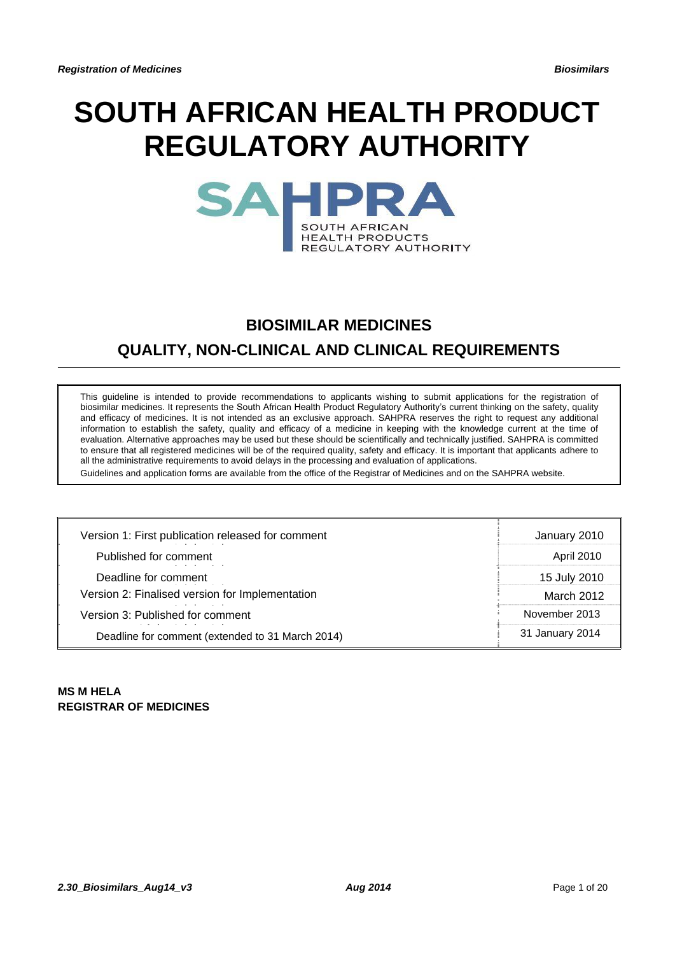# **SOUTH AFRICAN HEALTH PRODUCT REGULATORY AUTHORITY**

| <b>SOUTH AFRICAN</b>   |
|------------------------|
| <b>HEALTH PRODUCTS</b> |
| REGULATORY AUTHORITY   |

# **BIOSIMILAR MEDICINES**

# **QUALITY, NON-CLINICAL AND CLINICAL REQUIREMENTS**

This guideline is intended to provide recommendations to applicants wishing to submit applications for the registration of biosimilar medicines. It represents the South African Health Product Regulatory Authority's current thinking on the safety, quality and efficacy of medicines. It is not intended as an exclusive approach. SAHPRA reserves the right to request any additional information to establish the safety, quality and efficacy of a medicine in keeping with the knowledge current at the time of evaluation. Alternative approaches may be used but these should be scientifically and technically justified. SAHPRA is committed to ensure that all registered medicines will be of the required quality, safety and efficacy. It is important that applicants adhere to all the administrative requirements to avoid delays in the processing and evaluation of applications.

Guidelines and application forms are available from the office of the Registrar of Medicines and on the SAHPRA website.

| Version 1: First publication released for comment     | January 2010      |
|-------------------------------------------------------|-------------------|
| Published for comment                                 | <b>April 2010</b> |
| Deadline for comment                                  | 15 July 2010      |
| Version 2: Finalised version for Implementation       | March 2012        |
| Version 3: Published for comment                      | November 2013     |
| .<br>Deadline for comment (extended to 31 March 2014) | 31 January 2014   |

# **MS M HELA REGISTRAR OF MEDICINES**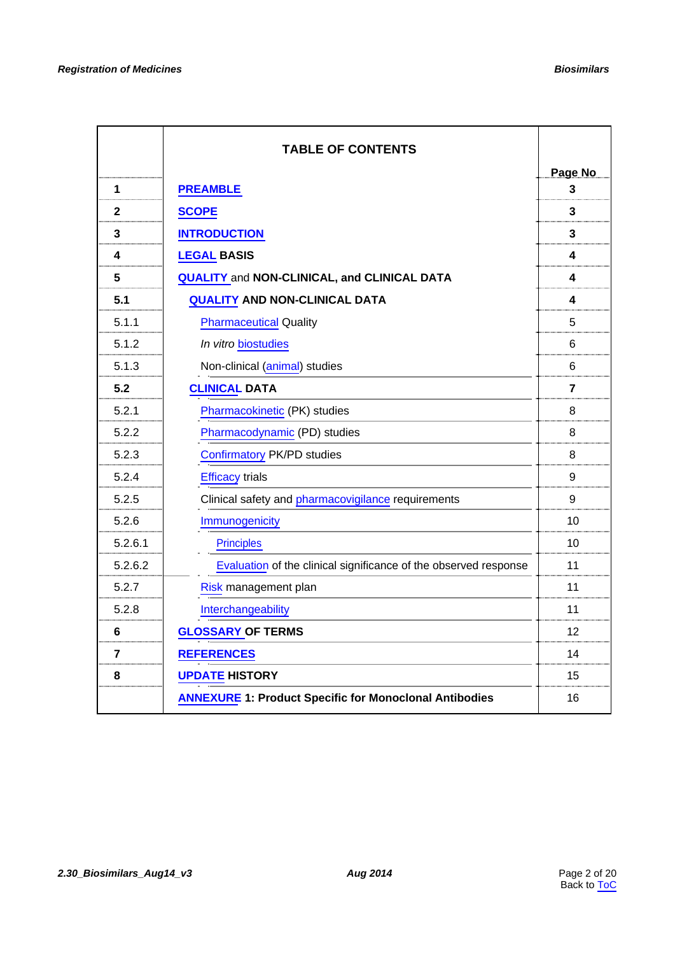<span id="page-1-0"></span>

|              | <b>TABLE OF CONTENTS</b>                                         |                |
|--------------|------------------------------------------------------------------|----------------|
|              |                                                                  | Page No        |
| 1            | <b>PREAMBLE</b>                                                  | 3              |
| $\mathbf{2}$ | <b>SCOPE</b>                                                     | 3              |
| $\mathbf{3}$ | <b>INTRODUCTION</b>                                              | 3              |
| 4            | <b>LEGAL BASIS</b>                                               | 4              |
| 5            | <b>QUALITY and NON-CLINICAL, and CLINICAL DATA</b>               | 4              |
| 5.1          | <b>QUALITY AND NON-CLINICAL DATA</b>                             | 4              |
| 5.1.1        | <b>Pharmaceutical Quality</b>                                    | 5              |
| 5.1.2        | In vitro biostudies                                              | 6              |
| 5.1.3        | Non-clinical (animal) studies                                    | 6              |
| 5.2          | <b>CLINICAL DATA</b>                                             | $\overline{7}$ |
| 5.2.1        | Pharmacokinetic (PK) studies                                     | 8              |
| 5.2.2        | Pharmacodynamic (PD) studies                                     | 8              |
| 5.2.3        | <b>Confirmatory PK/PD studies</b>                                | 8              |
| 5.2.4        | <b>Efficacy trials</b>                                           | 9              |
| 5.2.5        | Clinical safety and pharmacovigilance requirements               | 9              |
| 5.2.6        | Immunogenicity                                                   | 10             |
| 5.2.6.1      | <b>Principles</b>                                                | 10             |
| 5.2.6.2      | Evaluation of the clinical significance of the observed response | 11             |
| 5.2.7        | Risk management plan                                             | 11             |
| 5.2.8        | Interchangeability                                               | 11             |
| 6            | <b>GLOSSARY OF TERMS</b>                                         | 12             |
| 7            | <b>REFERENCES</b>                                                | 14             |
| 8            | <b>UPDATE HISTORY</b>                                            | 15             |
|              | <b>ANNEXURE 1: Product Specific for Monoclonal Antibodies</b>    | 16             |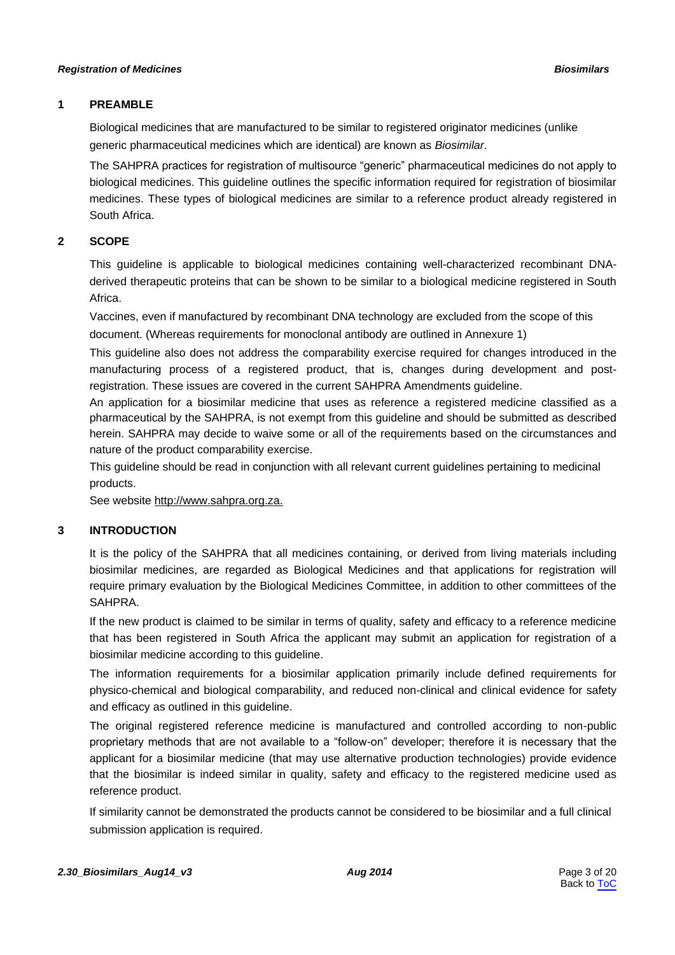# <span id="page-2-0"></span>**1 PREAMBLE**

Biological medicines that are manufactured to be similar to registered originator medicines (unlike generic pharmaceutical medicines which are identical) are known as *Biosimilar*.

The SAHPRA practices for registration of multisource "generic" pharmaceutical medicines do not apply to biological medicines. This guideline outlines the specific information required for registration of biosimilar medicines. These types of biological medicines are similar to a reference product already registered in South Africa.

# **2 SCOPE**

This guideline is applicable to biological medicines containing well-characterized recombinant DNAderived therapeutic proteins that can be shown to be similar to a biological medicine registered in South Africa.

Vaccines, even if manufactured by recombinant DNA technology are excluded from the scope of this document. (Whereas requirements for monoclonal antibody are outlined in Annexure 1)

This guideline also does not address the comparability exercise required for changes introduced in the manufacturing process of a registered product, that is, changes during development and postregistration. These issues are covered in the current SAHPRA Amendments guideline.

An application for a biosimilar medicine that uses as reference a registered medicine classified as a pharmaceutical by the SAHPRA, is not exempt from this guideline and should be submitted as described herein. SAHPRA may decide to waive some or all of the requirements based on the circumstances and nature of the product comparability exercise.

This guideline should be read in conjunction with all relevant current guidelines pertaining to medicinal products.

See website http://www.sahpra.org.za.

# **3 INTRODUCTION**

It is the policy of the SAHPRA that all medicines containing, or derived from living materials including biosimilar medicines, are regarded as Biological Medicines and that applications for registration will require primary evaluation by the Biological Medicines Committee, in addition to other committees of the SAHPRA.

If the new product is claimed to be similar in terms of quality, safety and efficacy to a reference medicine that has been registered in South Africa the applicant may submit an application for registration of a biosimilar medicine according to this guideline.

The information requirements for a biosimilar application primarily include defined requirements for physico-chemical and biological comparability, and reduced non-clinical and clinical evidence for safety and efficacy as outlined in this guideline.

The original registered reference medicine is manufactured and controlled according to non-public proprietary methods that are not available to a "follow-on" developer; therefore it is necessary that the applicant for a biosimilar medicine (that may use alternative production technologies) provide evidence that the biosimilar is indeed similar in quality, safety and efficacy to the registered medicine used as reference product.

If similarity cannot be demonstrated the products cannot be considered to be biosimilar and a full clinical submission application is required.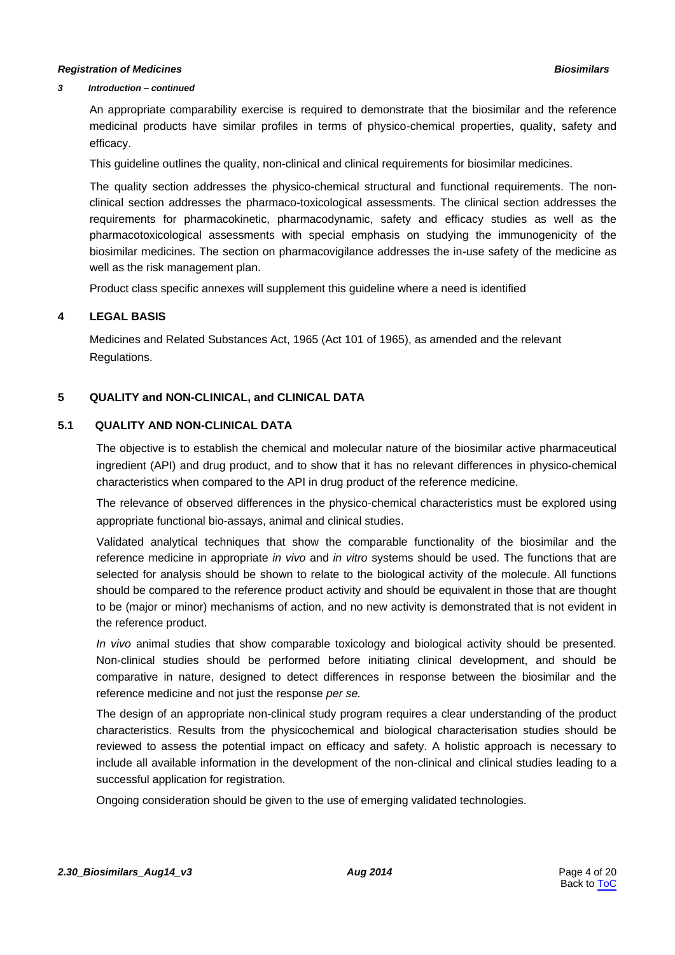#### <span id="page-3-0"></span>*3 Introduction – continued*

An appropriate comparability exercise is required to demonstrate that the biosimilar and the reference medicinal products have similar profiles in terms of physico-chemical properties, quality, safety and efficacy.

This guideline outlines the quality, non-clinical and clinical requirements for biosimilar medicines.

The quality section addresses the physico-chemical structural and functional requirements. The nonclinical section addresses the pharmaco-toxicological assessments. The clinical section addresses the requirements for pharmacokinetic, pharmacodynamic, safety and efficacy studies as well as the pharmacotoxicological assessments with special emphasis on studying the immunogenicity of the biosimilar medicines. The section on pharmacovigilance addresses the in-use safety of the medicine as well as the risk management plan.

Product class specific annexes will supplement this guideline where a need is identified

### **4 LEGAL BASIS**

Medicines and Related Substances Act, 1965 (Act 101 of 1965), as amended and the relevant Regulations.

### **5 QUALITY and NON-CLINICAL, and CLINICAL DATA**

# **5.1 QUALITY AND NON-CLINICAL DATA**

The objective is to establish the chemical and molecular nature of the biosimilar active pharmaceutical ingredient (API) and drug product, and to show that it has no relevant differences in physico-chemical characteristics when compared to the API in drug product of the reference medicine.

The relevance of observed differences in the physico-chemical characteristics must be explored using appropriate functional bio-assays, animal and clinical studies.

Validated analytical techniques that show the comparable functionality of the biosimilar and the reference medicine in appropriate *in vivo* and *in vitro* systems should be used. The functions that are selected for analysis should be shown to relate to the biological activity of the molecule. All functions should be compared to the reference product activity and should be equivalent in those that are thought to be (major or minor) mechanisms of action, and no new activity is demonstrated that is not evident in the reference product.

*In vivo* animal studies that show comparable toxicology and biological activity should be presented. Non-clinical studies should be performed before initiating clinical development, and should be comparative in nature, designed to detect differences in response between the biosimilar and the reference medicine and not just the response *per se.*

The design of an appropriate non-clinical study program requires a clear understanding of the product characteristics. Results from the physicochemical and biological characterisation studies should be reviewed to assess the potential impact on efficacy and safety. A holistic approach is necessary to include all available information in the development of the non-clinical and clinical studies leading to a successful application for registration.

Ongoing consideration should be given to the use of emerging validated technologies.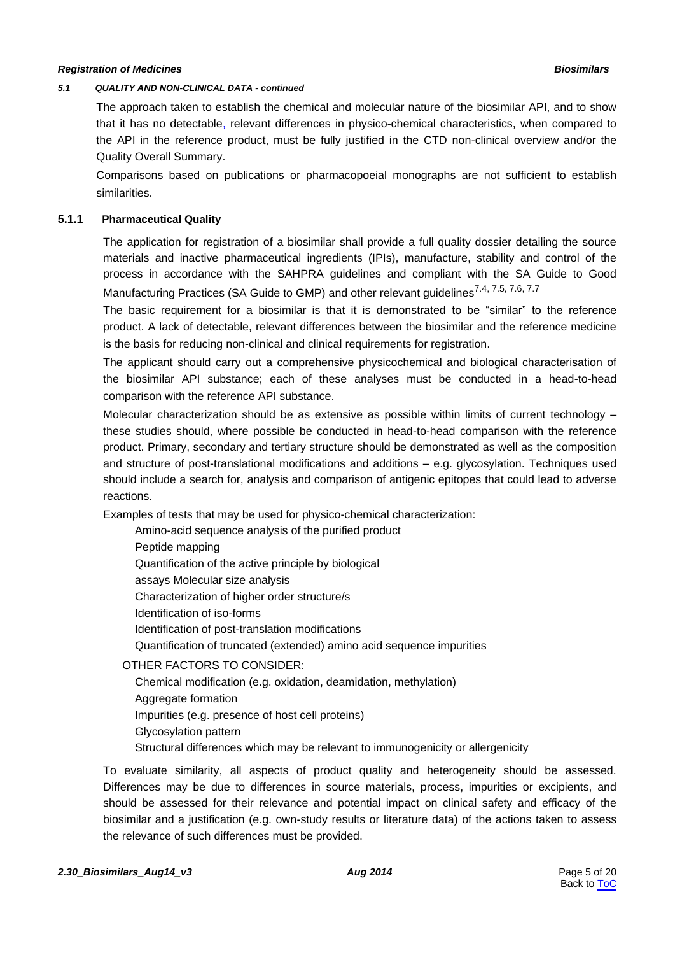#### <span id="page-4-0"></span>*5.1 QUALITY AND NON-CLINICAL DATA - continued*

The approach taken to establish the chemical and molecular nature of the biosimilar API, and to show that it has no detectable, relevant differences in physico-chemical characteristics, when compared to the API in the reference product, must be fully justified in the CTD non-clinical overview and/or the Quality Overall Summary.

Comparisons based on publications or pharmacopoeial monographs are not sufficient to establish similarities.

# **5.1.1 Pharmaceutical Quality**

The application for registration of a biosimilar shall provide a full quality dossier detailing the source materials and inactive pharmaceutical ingredients (IPIs), manufacture, stability and control of the process in accordance with the SAHPRA guidelines and compliant with the SA Guide to Good Manufacturing Practices (SA Guide to GMP) and other relevant quidelines<sup>7.4, 7.5, 7.6, 7.7</sup>

The basic requirement for a biosimilar is that it is demonstrated to be "similar" to the reference product. A lack of detectable, relevant differences between the biosimilar and the reference medicine is the basis for reducing non-clinical and clinical requirements for registration.

The applicant should carry out a comprehensive physicochemical and biological characterisation of the biosimilar API substance; each of these analyses must be conducted in a head-to-head comparison with the reference API substance.

Molecular characterization should be as extensive as possible within limits of current technology – these studies should, where possible be conducted in head-to-head comparison with the reference product. Primary, secondary and tertiary structure should be demonstrated as well as the composition and structure of post-translational modifications and additions – e.g. glycosylation. Techniques used should include a search for, analysis and comparison of antigenic epitopes that could lead to adverse reactions.

Examples of tests that may be used for physico-chemical characterization:

| Amino-acid sequence analysis of the purified product                  |
|-----------------------------------------------------------------------|
| Peptide mapping                                                       |
| Quantification of the active principle by biological                  |
| assays Molecular size analysis                                        |
| Characterization of higher order structure/s                          |
| Identification of iso-forms                                           |
| Identification of post-translation modifications                      |
| Quantification of truncated (extended) amino acid sequence impurities |
| OTHER FACTORS TO CONSIDER:                                            |

Chemical modification (e.g. oxidation, deamidation, methylation) Aggregate formation Impurities (e.g. presence of host cell proteins) Glycosylation pattern Structural differences which may be relevant to immunogenicity or allergenicity

To evaluate similarity, all aspects of product quality and heterogeneity should be assessed. Differences may be due to differences in source materials, process, impurities or excipients, and should be assessed for their relevance and potential impact on clinical safety and efficacy of the biosimilar and a justification (e.g. own-study results or literature data) of the actions taken to assess the relevance of such differences must be provided.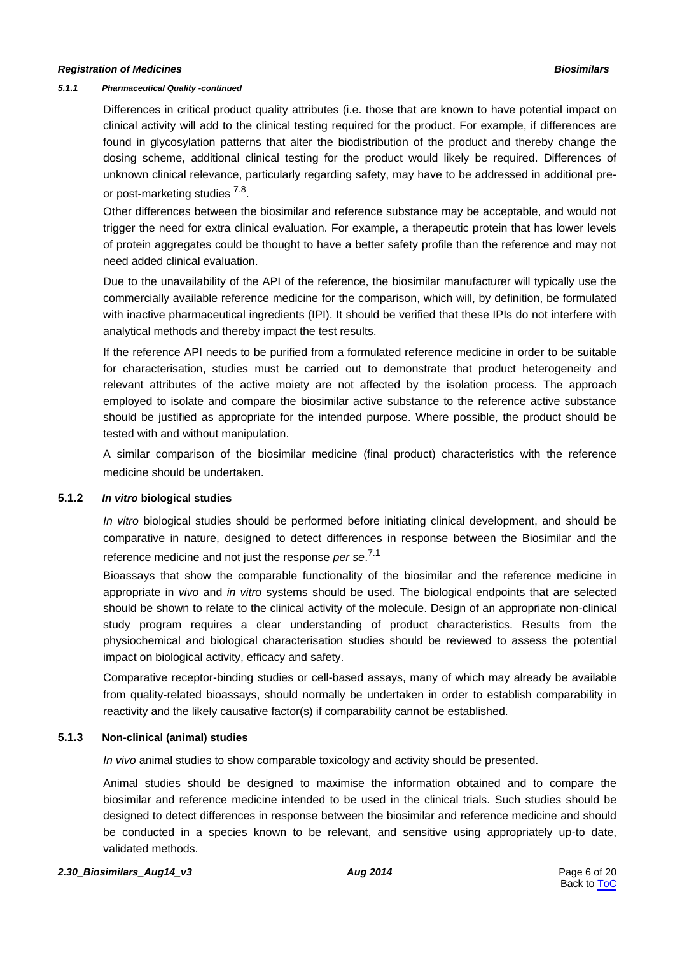#### <span id="page-5-0"></span>*5.1.1 Pharmaceutical Quality -continued*

Differences in critical product quality attributes (i.e. those that are known to have potential impact on clinical activity will add to the clinical testing required for the product. For example, if differences are found in glycosylation patterns that alter the biodistribution of the product and thereby change the dosing scheme, additional clinical testing for the product would likely be required. Differences of unknown clinical relevance, particularly regarding safety, may have to be addressed in additional preor post-marketing studies <sup>7.8</sup>.

Other differences between the biosimilar and reference substance may be acceptable, and would not trigger the need for extra clinical evaluation. For example, a therapeutic protein that has lower levels of protein aggregates could be thought to have a better safety profile than the reference and may not need added clinical evaluation.

Due to the unavailability of the API of the reference, the biosimilar manufacturer will typically use the commercially available reference medicine for the comparison, which will, by definition, be formulated with inactive pharmaceutical ingredients (IPI). It should be verified that these IPIs do not interfere with analytical methods and thereby impact the test results.

If the reference API needs to be purified from a formulated reference medicine in order to be suitable for characterisation, studies must be carried out to demonstrate that product heterogeneity and relevant attributes of the active moiety are not affected by the isolation process. The approach employed to isolate and compare the biosimilar active substance to the reference active substance should be justified as appropriate for the intended purpose. Where possible, the product should be tested with and without manipulation.

A similar comparison of the biosimilar medicine (final product) characteristics with the reference medicine should be undertaken.

#### **5.1.2** *In vitro* **biological studies**

*In vitro* biological studies should be performed before initiating clinical development, and should be comparative in nature, designed to detect differences in response between the Biosimilar and the reference medicine and not just the response *per se*. 7.1

Bioassays that show the comparable functionality of the biosimilar and the reference medicine in appropriate in *vivo* and *in vitro* systems should be used. The biological endpoints that are selected should be shown to relate to the clinical activity of the molecule. Design of an appropriate non-clinical study program requires a clear understanding of product characteristics. Results from the physiochemical and biological characterisation studies should be reviewed to assess the potential impact on biological activity, efficacy and safety.

Comparative receptor-binding studies or cell-based assays, many of which may already be available from quality-related bioassays, should normally be undertaken in order to establish comparability in reactivity and the likely causative factor(s) if comparability cannot be established.

# **5.1.3 Non-clinical (animal) studies**

*In vivo* animal studies to show comparable toxicology and activity should be presented.

Animal studies should be designed to maximise the information obtained and to compare the biosimilar and reference medicine intended to be used in the clinical trials. Such studies should be designed to detect differences in response between the biosimilar and reference medicine and should be conducted in a species known to be relevant, and sensitive using appropriately up-to date, validated methods.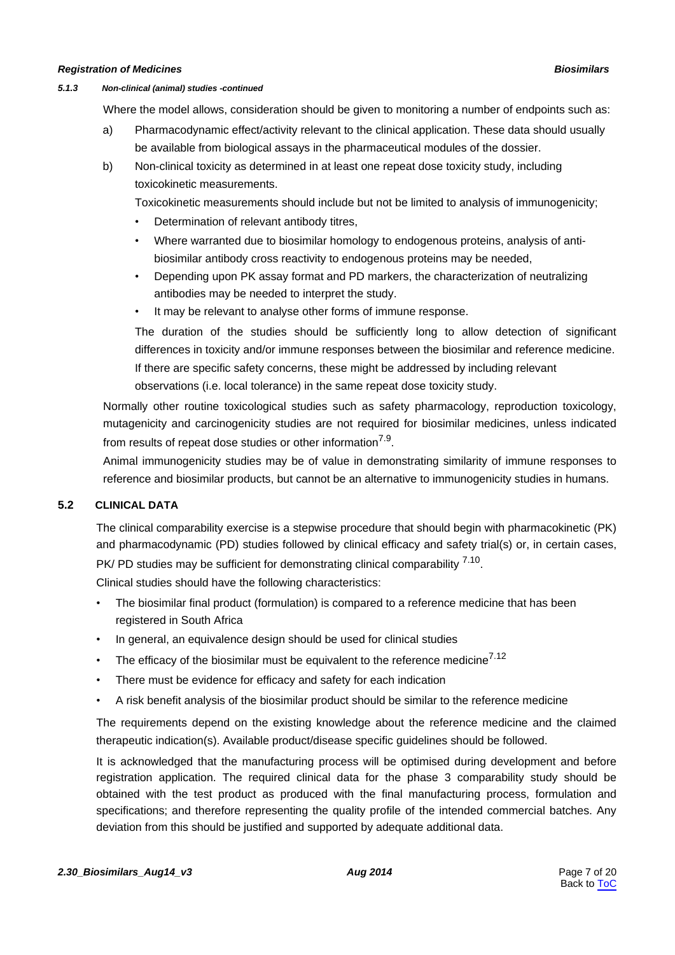#### <span id="page-6-0"></span>*5.1.3 Non-clinical (animal) studies -continued*

Where the model allows, consideration should be given to monitoring a number of endpoints such as:

- a) Pharmacodynamic effect/activity relevant to the clinical application. These data should usually be available from biological assays in the pharmaceutical modules of the dossier.
- b) Non-clinical toxicity as determined in at least one repeat dose toxicity study, including toxicokinetic measurements.

Toxicokinetic measurements should include but not be limited to analysis of immunogenicity;

- Determination of relevant antibody titres,
- Where warranted due to biosimilar homology to endogenous proteins, analysis of antibiosimilar antibody cross reactivity to endogenous proteins may be needed,
- Depending upon PK assay format and PD markers, the characterization of neutralizing antibodies may be needed to interpret the study.
- It may be relevant to analyse other forms of immune response.

The duration of the studies should be sufficiently long to allow detection of significant differences in toxicity and/or immune responses between the biosimilar and reference medicine. If there are specific safety concerns, these might be addressed by including relevant observations (i.e. local tolerance) in the same repeat dose toxicity study.

Normally other routine toxicological studies such as safety pharmacology, reproduction toxicology, mutagenicity and carcinogenicity studies are not required for biosimilar medicines, unless indicated from results of repeat dose studies or other information<sup>7.9</sup>.

Animal immunogenicity studies may be of value in demonstrating similarity of immune responses to reference and biosimilar products, but cannot be an alternative to immunogenicity studies in humans.

# **5.2 CLINICAL DATA**

The clinical comparability exercise is a stepwise procedure that should begin with pharmacokinetic (PK) and pharmacodynamic (PD) studies followed by clinical efficacy and safety trial(s) or, in certain cases, PK/ PD studies may be sufficient for demonstrating clinical comparability <sup>7.10</sup>.

Clinical studies should have the following characteristics:

- The biosimilar final product (formulation) is compared to a reference medicine that has been registered in South Africa
- In general, an equivalence design should be used for clinical studies
- The efficacy of the biosimilar must be equivalent to the reference medicine<sup>7.12</sup>
- There must be evidence for efficacy and safety for each indication
- A risk benefit analysis of the biosimilar product should be similar to the reference medicine

The requirements depend on the existing knowledge about the reference medicine and the claimed therapeutic indication(s). Available product/disease specific guidelines should be followed.

It is acknowledged that the manufacturing process will be optimised during development and before registration application. The required clinical data for the phase 3 comparability study should be obtained with the test product as produced with the final manufacturing process, formulation and specifications; and therefore representing the quality profile of the intended commercial batches. Any deviation from this should be justified and supported by adequate additional data.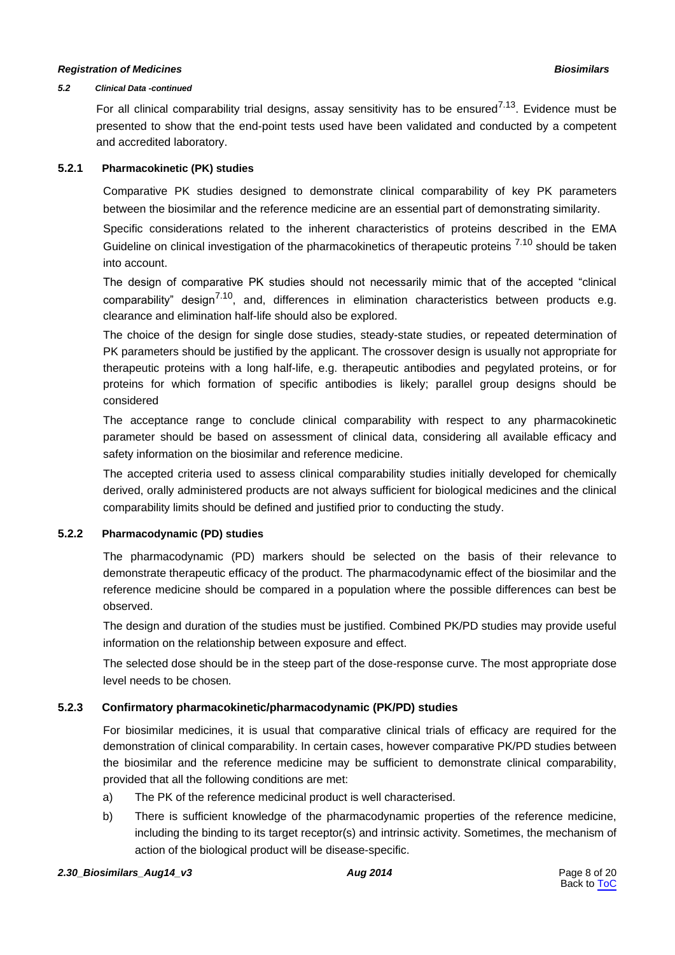#### <span id="page-7-0"></span>*5.2 Clinical Data -continued*

For all clinical comparability trial designs, assay sensitivity has to be ensured<sup>7.13</sup>. Evidence must be presented to show that the end-point tests used have been validated and conducted by a competent and accredited laboratory.

### **5.2.1 Pharmacokinetic (PK) studies**

Comparative PK studies designed to demonstrate clinical comparability of key PK parameters between the biosimilar and the reference medicine are an essential part of demonstrating similarity.

Specific considerations related to the inherent characteristics of proteins described in the EMA Guideline on clinical investigation of the pharmacokinetics of therapeutic proteins <sup>7.10</sup> should be taken into account.

The design of comparative PK studies should not necessarily mimic that of the accepted "clinical comparability" design<sup>7.10</sup>, and, differences in elimination characteristics between products e.g. clearance and elimination half-life should also be explored.

The choice of the design for single dose studies, steady-state studies, or repeated determination of PK parameters should be justified by the applicant. The crossover design is usually not appropriate for therapeutic proteins with a long half-life, e.g. therapeutic antibodies and pegylated proteins, or for proteins for which formation of specific antibodies is likely; parallel group designs should be considered

The acceptance range to conclude clinical comparability with respect to any pharmacokinetic parameter should be based on assessment of clinical data, considering all available efficacy and safety information on the biosimilar and reference medicine.

The accepted criteria used to assess clinical comparability studies initially developed for chemically derived, orally administered products are not always sufficient for biological medicines and the clinical comparability limits should be defined and justified prior to conducting the study.

# **5.2.2 Pharmacodynamic (PD) studies**

The pharmacodynamic (PD) markers should be selected on the basis of their relevance to demonstrate therapeutic efficacy of the product. The pharmacodynamic effect of the biosimilar and the reference medicine should be compared in a population where the possible differences can best be observed.

The design and duration of the studies must be justified. Combined PK/PD studies may provide useful information on the relationship between exposure and effect.

The selected dose should be in the steep part of the dose-response curve. The most appropriate dose level needs to be chosen*.*

# **5.2.3 Confirmatory pharmacokinetic/pharmacodynamic (PK/PD) studies**

For biosimilar medicines, it is usual that comparative clinical trials of efficacy are required for the demonstration of clinical comparability. In certain cases, however comparative PK/PD studies between the biosimilar and the reference medicine may be sufficient to demonstrate clinical comparability, provided that all the following conditions are met:

- a) The PK of the reference medicinal product is well characterised.
- b) There is sufficient knowledge of the pharmacodynamic properties of the reference medicine, including the binding to its target receptor(s) and intrinsic activity. Sometimes, the mechanism of action of the biological product will be disease-specific.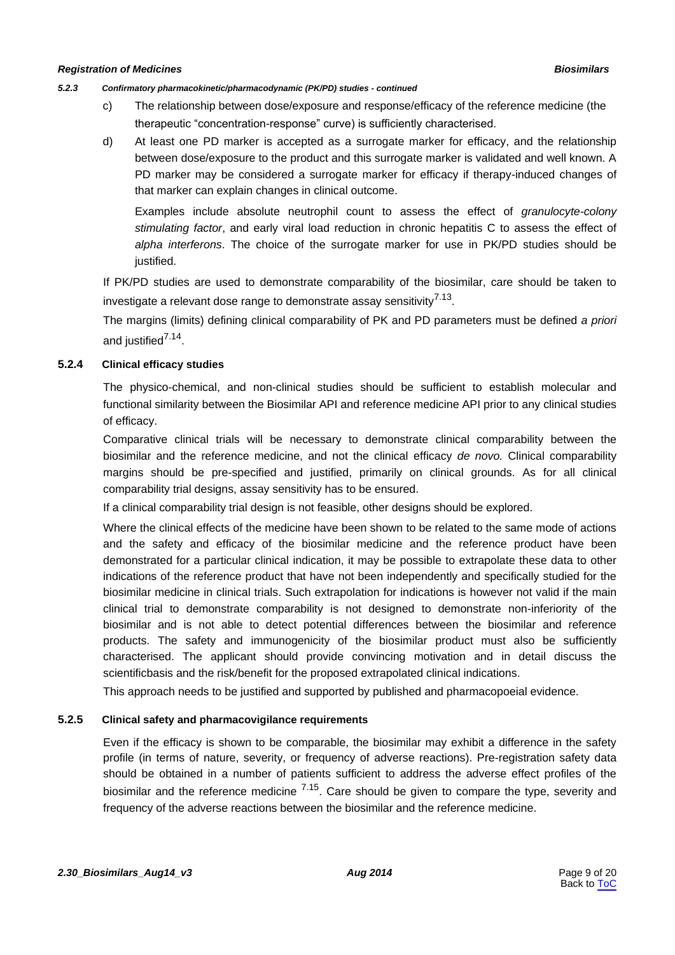#### <span id="page-8-0"></span>*5.2.3 Confirmatory pharmacokinetic/pharmacodynamic (PK/PD) studies - continued*

- c) The relationship between dose/exposure and response/efficacy of the reference medicine (the therapeutic "concentration-response" curve) is sufficiently characterised.
- d) At least one PD marker is accepted as a surrogate marker for efficacy, and the relationship between dose/exposure to the product and this surrogate marker is validated and well known. A PD marker may be considered a surrogate marker for efficacy if therapy-induced changes of that marker can explain changes in clinical outcome.

Examples include absolute neutrophil count to assess the effect of *granulocyte-colony stimulating factor*, and early viral load reduction in chronic hepatitis C to assess the effect of *alpha interferons*. The choice of the surrogate marker for use in PK/PD studies should be justified.

If PK/PD studies are used to demonstrate comparability of the biosimilar, care should be taken to investigate a relevant dose range to demonstrate assay sensitivity<sup>7.13</sup>.

The margins (limits) defining clinical comparability of PK and PD parameters must be defined *a priori* and justified<sup>7.14</sup>.

### **5.2.4 Clinical efficacy studies**

The physico-chemical, and non-clinical studies should be sufficient to establish molecular and functional similarity between the Biosimilar API and reference medicine API prior to any clinical studies of efficacy.

Comparative clinical trials will be necessary to demonstrate clinical comparability between the biosimilar and the reference medicine, and not the clinical efficacy *de novo.* Clinical comparability margins should be pre-specified and justified, primarily on clinical grounds. As for all clinical comparability trial designs, assay sensitivity has to be ensured.

If a clinical comparability trial design is not feasible, other designs should be explored.

Where the clinical effects of the medicine have been shown to be related to the same mode of actions and the safety and efficacy of the biosimilar medicine and the reference product have been demonstrated for a particular clinical indication, it may be possible to extrapolate these data to other indications of the reference product that have not been independently and specifically studied for the biosimilar medicine in clinical trials. Such extrapolation for indications is however not valid if the main clinical trial to demonstrate comparability is not designed to demonstrate non-inferiority of the biosimilar and is not able to detect potential differences between the biosimilar and reference products. The safety and immunogenicity of the biosimilar product must also be sufficiently characterised. The applicant should provide convincing motivation and in detail discuss the scientificbasis and the risk/benefit for the proposed extrapolated clinical indications.

This approach needs to be justified and supported by published and pharmacopoeial evidence.

#### **5.2.5 Clinical safety and pharmacovigilance requirements**

Even if the efficacy is shown to be comparable, the biosimilar may exhibit a difference in the safety profile (in terms of nature, severity, or frequency of adverse reactions). Pre-registration safety data should be obtained in a number of patients sufficient to address the adverse effect profiles of the biosimilar and the reference medicine  $7.15$ . Care should be given to compare the type, severity and frequency of the adverse reactions between the biosimilar and the reference medicine.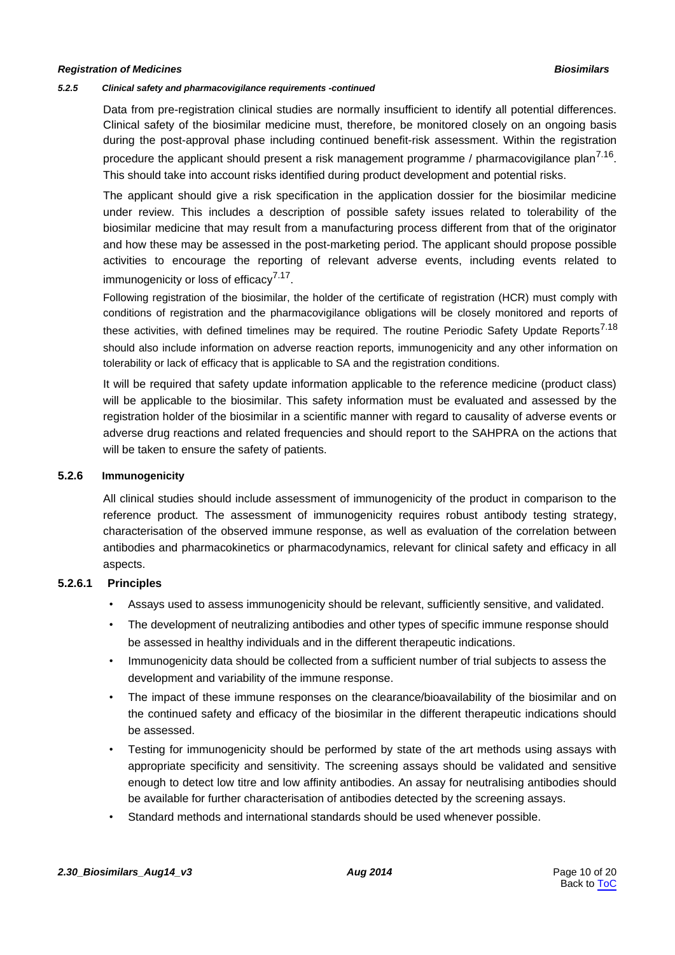#### <span id="page-9-0"></span>*5.2.5 Clinical safety and pharmacovigilance requirements -continued*

Data from pre-registration clinical studies are normally insufficient to identify all potential differences. Clinical safety of the biosimilar medicine must, therefore, be monitored closely on an ongoing basis during the post-approval phase including continued benefit-risk assessment. Within the registration procedure the applicant should present a risk management programme / pharmacovigilance plan<sup>7.16</sup>. This should take into account risks identified during product development and potential risks.

The applicant should give a risk specification in the application dossier for the biosimilar medicine under review. This includes a description of possible safety issues related to tolerability of the biosimilar medicine that may result from a manufacturing process different from that of the originator and how these may be assessed in the post-marketing period. The applicant should propose possible activities to encourage the reporting of relevant adverse events, including events related to immunogenicity or loss of efficacy<sup>7.17</sup>.

Following registration of the biosimilar, the holder of the certificate of registration (HCR) must comply with conditions of registration and the pharmacovigilance obligations will be closely monitored and reports of these activities, with defined timelines may be required. The routine Periodic Safety Update Reports<sup>7.18</sup> should also include information on adverse reaction reports, immunogenicity and any other information on tolerability or lack of efficacy that is applicable to SA and the registration conditions.

It will be required that safety update information applicable to the reference medicine (product class) will be applicable to the biosimilar. This safety information must be evaluated and assessed by the registration holder of the biosimilar in a scientific manner with regard to causality of adverse events or adverse drug reactions and related frequencies and should report to the SAHPRA on the actions that will be taken to ensure the safety of patients.

#### **5.2.6 Immunogenicity**

All clinical studies should include assessment of immunogenicity of the product in comparison to the reference product. The assessment of immunogenicity requires robust antibody testing strategy, characterisation of the observed immune response, as well as evaluation of the correlation between antibodies and pharmacokinetics or pharmacodynamics, relevant for clinical safety and efficacy in all aspects.

#### **5.2.6.1 Principles**

- Assays used to assess immunogenicity should be relevant, sufficiently sensitive, and validated.
- The development of neutralizing antibodies and other types of specific immune response should be assessed in healthy individuals and in the different therapeutic indications.
- Immunogenicity data should be collected from a sufficient number of trial subjects to assess the development and variability of the immune response.
- The impact of these immune responses on the clearance/bioavailability of the biosimilar and on the continued safety and efficacy of the biosimilar in the different therapeutic indications should be assessed.
- Testing for immunogenicity should be performed by state of the art methods using assays with appropriate specificity and sensitivity. The screening assays should be validated and sensitive enough to detect low titre and low affinity antibodies. An assay for neutralising antibodies should be available for further characterisation of antibodies detected by the screening assays.
- Standard methods and international standards should be used whenever possible.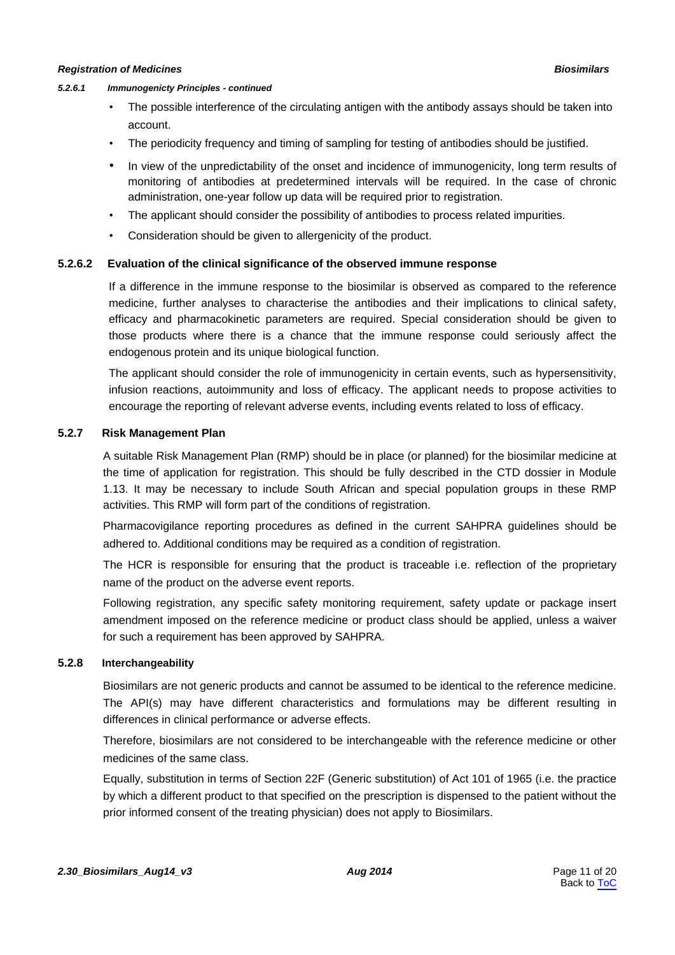#### <span id="page-10-0"></span>*5.2.6.1 Immunogenicty Principles - continued*

- The possible interference of the circulating antigen with the antibody assays should be taken into account.
- The periodicity frequency and timing of sampling for testing of antibodies should be justified.
- In view of the unpredictability of the onset and incidence of immunogenicity, long term results of monitoring of antibodies at predetermined intervals will be required. In the case of chronic administration, one-year follow up data will be required prior to registration.
- The applicant should consider the possibility of antibodies to process related impurities.
- Consideration should be given to allergenicity of the product.

### **5.2.6.2 Evaluation of the clinical significance of the observed immune response**

If a difference in the immune response to the biosimilar is observed as compared to the reference medicine, further analyses to characterise the antibodies and their implications to clinical safety, efficacy and pharmacokinetic parameters are required. Special consideration should be given to those products where there is a chance that the immune response could seriously affect the endogenous protein and its unique biological function.

The applicant should consider the role of immunogenicity in certain events, such as hypersensitivity, infusion reactions, autoimmunity and loss of efficacy. The applicant needs to propose activities to encourage the reporting of relevant adverse events, including events related to loss of efficacy.

#### **5.2.7 Risk Management Plan**

A suitable Risk Management Plan (RMP) should be in place (or planned) for the biosimilar medicine at the time of application for registration. This should be fully described in the CTD dossier in Module 1.13. It may be necessary to include South African and special population groups in these RMP activities. This RMP will form part of the conditions of registration.

Pharmacovigilance reporting procedures as defined in the current SAHPRA guidelines should be adhered to. Additional conditions may be required as a condition of registration.

The HCR is responsible for ensuring that the product is traceable i.e. reflection of the proprietary name of the product on the adverse event reports.

Following registration, any specific safety monitoring requirement, safety update or package insert amendment imposed on the reference medicine or product class should be applied, unless a waiver for such a requirement has been approved by SAHPRA.

# **5.2.8 Interchangeability**

Biosimilars are not generic products and cannot be assumed to be identical to the reference medicine. The API(s) may have different characteristics and formulations may be different resulting in differences in clinical performance or adverse effects.

Therefore, biosimilars are not considered to be interchangeable with the reference medicine or other medicines of the same class.

Equally, substitution in terms of Section 22F (Generic substitution) of Act 101 of 1965 (i.e. the practice by which a different product to that specified on the prescription is dispensed to the patient without the prior informed consent of the treating physician) does not apply to Biosimilars.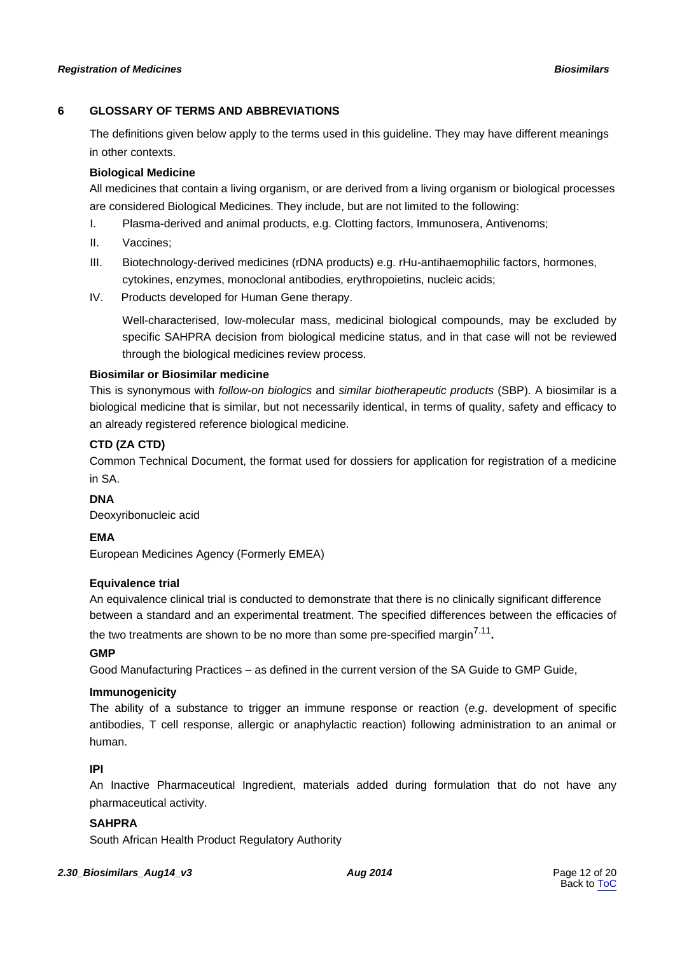# <span id="page-11-0"></span>**6 GLOSSARY OF TERMS AND ABBREVIATIONS**

The definitions given below apply to the terms used in this guideline. They may have different meanings in other contexts.

# **Biological Medicine**

All medicines that contain a living organism, or are derived from a living organism or biological processes are considered Biological Medicines. They include, but are not limited to the following:

- I. Plasma-derived and animal products, e.g. Clotting factors, Immunosera, Antivenoms;
- II. Vaccines;
- III. Biotechnology-derived medicines (rDNA products) e.g. rHu-antihaemophilic factors, hormones, cytokines, enzymes, monoclonal antibodies, erythropoietins, nucleic acids;
- IV. Products developed for Human Gene therapy.

Well-characterised, low-molecular mass, medicinal biological compounds, may be excluded by specific SAHPRA decision from biological medicine status, and in that case will not be reviewed through the biological medicines review process.

# **Biosimilar or Biosimilar medicine**

This is synonymous with *follow-on biologics* and *similar biotherapeutic products* (SBP). A biosimilar is a biological medicine that is similar, but not necessarily identical, in terms of quality, safety and efficacy to an already registered reference biological medicine.

# **CTD (ZA CTD)**

Common Technical Document, the format used for dossiers for application for registration of a medicine in SA.

# **DNA**

Deoxyribonucleic acid

# **EMA**

European Medicines Agency (Formerly EMEA)

# **Equivalence trial**

An equivalence clinical trial is conducted to demonstrate that there is no clinically significant difference between a standard and an experimental treatment. The specified differences between the efficacies of

the two treatments are shown to be no more than some pre-specified margin<sup>7.11</sup>.

# **GMP**

Good Manufacturing Practices – as defined in the current version of the SA Guide to GMP Guide,

# **Immunogenicity**

The ability of a substance to trigger an immune response or reaction (*e.g*. development of specific antibodies, T cell response, allergic or anaphylactic reaction) following administration to an animal or human.

# **IPI**

An Inactive Pharmaceutical Ingredient, materials added during formulation that do not have any pharmaceutical activity.

# **SAHPRA**

South African Health Product Regulatory Authority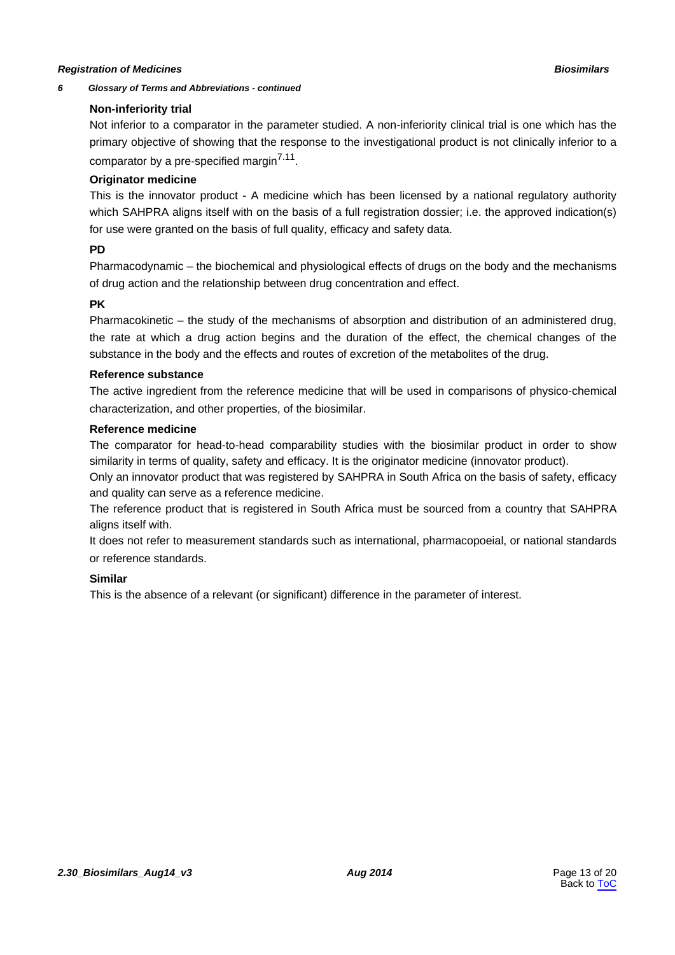#### *6 Glossary of Terms and Abbreviations - continued*

## **Non-inferiority trial**

Not inferior to a comparator in the parameter studied. A non-inferiority clinical trial is one which has the primary objective of showing that the response to the investigational product is not clinically inferior to a comparator by a pre-specified margin<sup>7.11</sup>.

# **Originator medicine**

This is the innovator product - A medicine which has been licensed by a national regulatory authority which SAHPRA aligns itself with on the basis of a full registration dossier; i.e. the approved indication(s) for use were granted on the basis of full quality, efficacy and safety data.

# **PD**

Pharmacodynamic – the biochemical and [physiological e](http://en.wikipedia.org/wiki/Physiological)ffects of drugs on the body and the mechanisms of drug action and the relationship between drug concentration and effect.

# **PK**

Pharmacokinetic – the study of the mechanisms of absorption and distribution of an administered drug, the rate at which a drug action begins and the duration of the effect, the chemical changes of the substance in the body and the effects and routes of excretion of the metabolites of the drug.

### **Reference substance**

The active ingredient from the reference medicine that will be used in comparisons of physico-chemical characterization, and other properties, of the biosimilar.

### **Reference medicine**

The comparator for head-to-head comparability studies with the biosimilar product in order to show similarity in terms of quality, safety and efficacy. It is the originator medicine (innovator product).

Only an innovator product that was registered by SAHPRA in South Africa on the basis of safety, efficacy and quality can serve as a reference medicine.

The reference product that is registered in South Africa must be sourced from a country that SAHPRA aligns itself with.

It does not refer to measurement standards such as international, pharmacopoeial, or national standards or reference standards.

# **Similar**

This is the absence of a relevant (or significant) difference in the parameter of interest.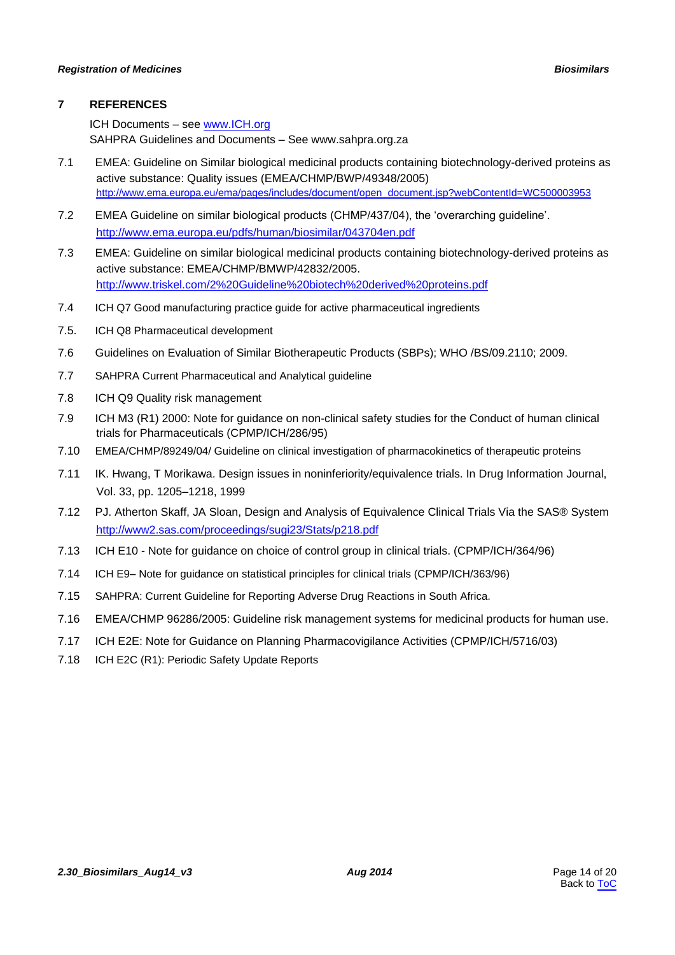# <span id="page-13-0"></span>**7 REFERENCES**

ICH Documents – see [www.ICH.org](http://www.ich.org/) SAHPRA Guidelines and Documents – See www.sahpra.org.za

- 7.1 EMEA: Guideline on Similar biological medicinal products containing biotechnology-derived proteins as active substance: Quality issues (EMEA/CHMP/BWP/49348/2005) [http://www.ema.europa.eu/ema/pages/includes/document/open\\_document.jsp?webContentId=WC500003953](http://www.ema.europa.eu/ema/pages/includes/document/open_document.jsp?webContentId=WC500003953)
- 7.2 EMEA Guideline on similar biological products (CHMP/437/04), the 'overarching guideline'. <http://www.ema.europa.eu/pdfs/human/biosimilar/043704en.pdf>
- 7.3 EMEA: Guideline on similar biological medicinal products containing biotechnology-derived proteins as active substance: EMEA/CHMP/BMWP/42832/2005. <http://www.triskel.com/2%20Guideline%20biotech%20derived%20proteins.pdf>
- 7.4 ICH Q7 Good manufacturing practice guide for active pharmaceutical ingredients
- 7.5. ICH Q8 Pharmaceutical development
- 7.6 Guidelines on Evaluation of Similar Biotherapeutic Products (SBPs); WHO /BS/09.2110; 2009.
- 7.7 SAHPRA Current Pharmaceutical and Analytical guideline
- 7.8 ICH Q9 Quality risk management
- 7.9 ICH M3 (R1) 2000: Note for guidance on non-clinical safety studies for the Conduct of human clinical trials for Pharmaceuticals (CPMP/ICH/286/95)
- 7.10 EMEA/CHMP/89249/04/ Guideline on clinical investigation of pharmacokinetics of therapeutic proteins
- 7.11 IK. Hwang, T Morikawa. Design issues in noninferiority/equivalence trials. In Drug Information Journal, Vol. 33, pp. 1205–1218, 1999
- 7.12 PJ. Atherton Skaff, JA Sloan, Design and Analysis of Equivalence Clinical Trials Via the SAS® System <http://www2.sas.com/proceedings/sugi23/Stats/p218.pdf>
- 7.13 ICH E10 Note for guidance on choice of control group in clinical trials. (CPMP/ICH/364/96)
- 7.14 ICH E9– Note for guidance on statistical principles for clinical trials (CPMP/ICH/363/96)
- 7.15 SAHPRA: Current Guideline for Reporting Adverse Drug Reactions in South Africa.
- 7.16 EMEA/CHMP 96286/2005: Guideline risk management systems for medicinal products for human use.
- 7.17 ICH E2E: Note for Guidance on Planning Pharmacovigilance Activities (CPMP/ICH/5716/03)
- 7.18 ICH E2C (R1): Periodic Safety Update Reports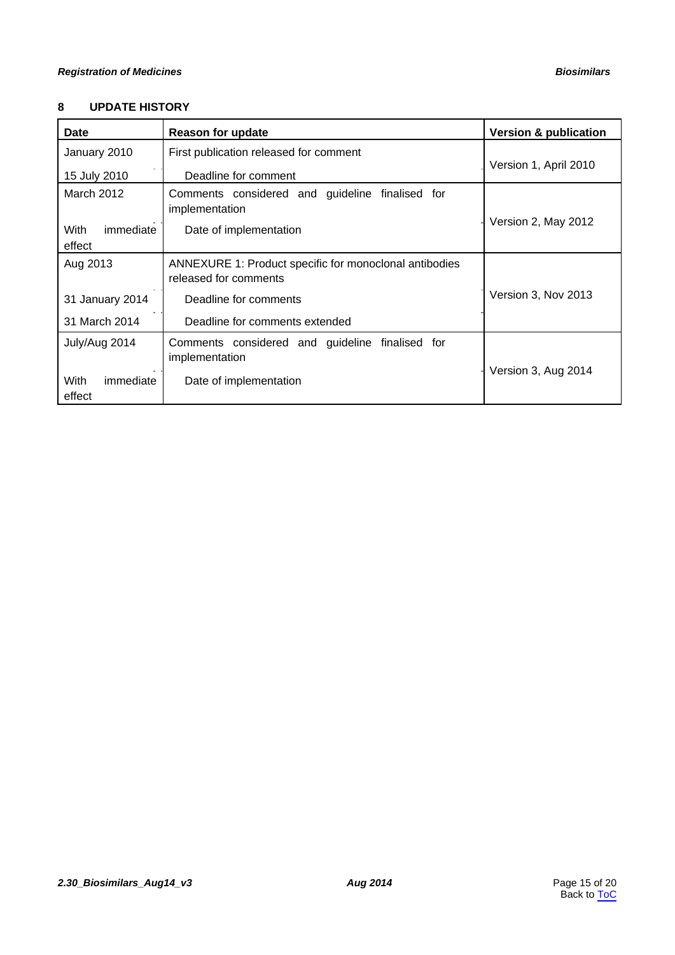# <span id="page-14-0"></span>**8 UPDATE HISTORY**

| <b>Date</b>                 | <b>Reason for update</b>                                                        | <b>Version &amp; publication</b> |
|-----------------------------|---------------------------------------------------------------------------------|----------------------------------|
| January 2010                | First publication released for comment                                          |                                  |
| 15 July 2010                | Deadline for comment                                                            | Version 1, April 2010            |
| March 2012                  | Comments considered and guideline finalised for<br>implementation               |                                  |
| With<br>immediate<br>effect | Date of implementation                                                          | Version 2, May 2012              |
| Aug 2013                    | ANNEXURE 1: Product specific for monoclonal antibodies<br>released for comments |                                  |
| 31 January 2014             | Deadline for comments                                                           | Version 3, Nov 2013              |
| 31 March 2014               | Deadline for comments extended                                                  |                                  |
| July/Aug 2014               | Comments considered and guideline finalised for<br>implementation               |                                  |
| With<br>immediate<br>effect | Date of implementation                                                          | Version 3, Aug 2014              |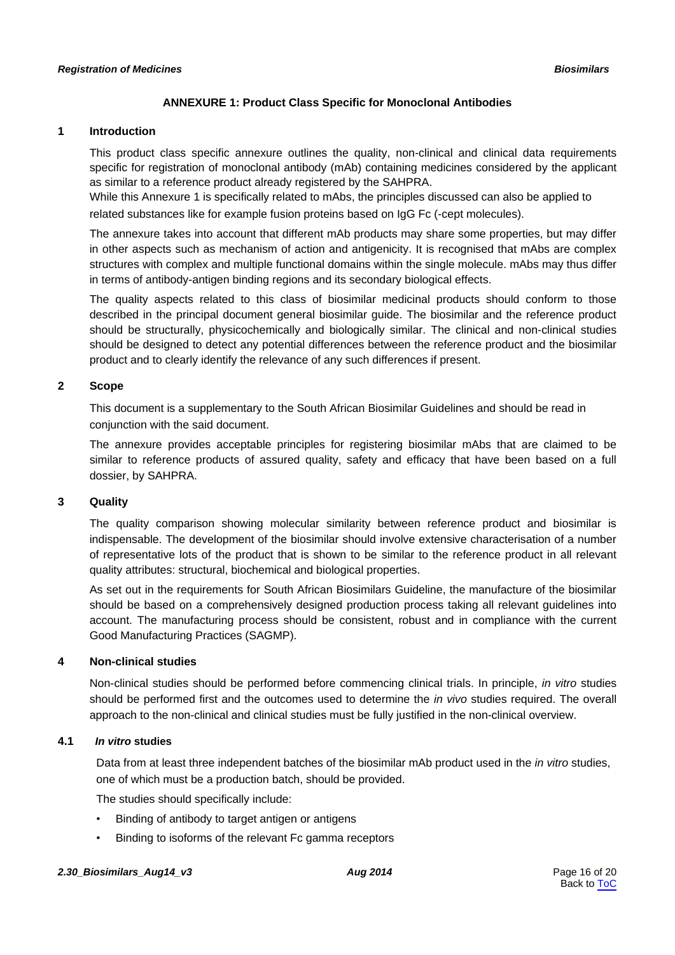# **ANNEXURE 1: Product Class Specific for Monoclonal Antibodies**

## <span id="page-15-0"></span>**1 Introduction**

This product class specific annexure outlines the quality, non-clinical and clinical data requirements specific for registration of monoclonal antibody (mAb) containing medicines considered by the applicant as similar to a reference product already registered by the SAHPRA.

While this Annexure 1 is specifically related to mAbs, the principles discussed can also be applied to related substances like for example fusion proteins based on IgG Fc (-cept molecules).

The annexure takes into account that different mAb products may share some properties, but may differ in other aspects such as mechanism of action and antigenicity. It is recognised that mAbs are complex structures with complex and multiple functional domains within the single molecule. mAbs may thus differ in terms of antibody-antigen binding regions and its secondary biological effects.

The quality aspects related to this class of biosimilar medicinal products should conform to those described in the principal document general biosimilar guide. The biosimilar and the reference product should be structurally, physicochemically and biologically similar. The clinical and non-clinical studies should be designed to detect any potential differences between the reference product and the biosimilar product and to clearly identify the relevance of any such differences if present.

# **2 Scope**

This document is a supplementary to the South African Biosimilar Guidelines and should be read in conjunction with the said document.

The annexure provides acceptable principles for registering biosimilar mAbs that are claimed to be similar to reference products of assured quality, safety and efficacy that have been based on a full dossier, by SAHPRA.

#### **3 Quality**

The quality comparison showing molecular similarity between reference product and biosimilar is indispensable. The development of the biosimilar should involve extensive characterisation of a number of representative lots of the product that is shown to be similar to the reference product in all relevant quality attributes: structural, biochemical and biological properties.

As set out in the requirements for South African Biosimilars Guideline, the manufacture of the biosimilar should be based on a comprehensively designed production process taking all relevant guidelines into account. The manufacturing process should be consistent, robust and in compliance with the current Good Manufacturing Practices (SAGMP).

# **4 Non-clinical studies**

Non-clinical studies should be performed before commencing clinical trials. In principle, *in vitro* studies should be performed first and the outcomes used to determine the *in vivo* studies required. The overall approach to the non-clinical and clinical studies must be fully justified in the non-clinical overview.

# **4.1** *In vitro* **studies**

Data from at least three independent batches of the biosimilar mAb product used in the *in vitro* studies, one of which must be a production batch, should be provided.

The studies should specifically include:

- Binding of antibody to target antigen or antigens
- Binding to isoforms of the relevant Fc gamma receptors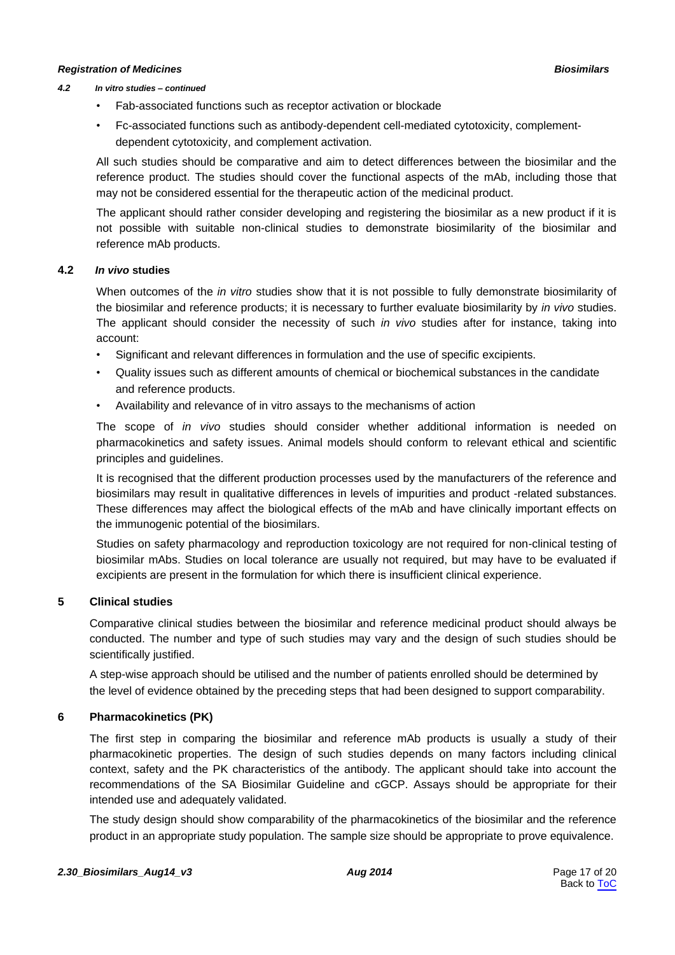#### *4.2 In vitro studies – continued*

- Fab-associated functions such as receptor activation or blockade
- Fc-associated functions such as antibody-dependent cell-mediated cytotoxicity, complementdependent cytotoxicity, and complement activation.

All such studies should be comparative and aim to detect differences between the biosimilar and the reference product. The studies should cover the functional aspects of the mAb, including those that may not be considered essential for the therapeutic action of the medicinal product.

The applicant should rather consider developing and registering the biosimilar as a new product if it is not possible with suitable non-clinical studies to demonstrate biosimilarity of the biosimilar and reference mAb products.

#### **4.2** *In vivo* **studies**

When outcomes of the *in vitro* studies show that it is not possible to fully demonstrate biosimilarity of the biosimilar and reference products; it is necessary to further evaluate biosimilarity by *in vivo* studies. The applicant should consider the necessity of such *in vivo* studies after for instance, taking into account:

- Significant and relevant differences in formulation and the use of specific excipients.
- Quality issues such as different amounts of chemical or biochemical substances in the candidate and reference products.
- Availability and relevance of in vitro assays to the mechanisms of action

The scope of *in vivo* studies should consider whether additional information is needed on pharmacokinetics and safety issues. Animal models should conform to relevant ethical and scientific principles and guidelines.

It is recognised that the different production processes used by the manufacturers of the reference and biosimilars may result in qualitative differences in levels of impurities and product -related substances. These differences may affect the biological effects of the mAb and have clinically important effects on the immunogenic potential of the biosimilars.

Studies on safety pharmacology and reproduction toxicology are not required for non-clinical testing of biosimilar mAbs. Studies on local tolerance are usually not required, but may have to be evaluated if excipients are present in the formulation for which there is insufficient clinical experience.

# **5 Clinical studies**

Comparative clinical studies between the biosimilar and reference medicinal product should always be conducted. The number and type of such studies may vary and the design of such studies should be scientifically justified.

A step-wise approach should be utilised and the number of patients enrolled should be determined by the level of evidence obtained by the preceding steps that had been designed to support comparability.

# **6 Pharmacokinetics (PK)**

The first step in comparing the biosimilar and reference mAb products is usually a study of their pharmacokinetic properties. The design of such studies depends on many factors including clinical context, safety and the PK characteristics of the antibody. The applicant should take into account the recommendations of the SA Biosimilar Guideline and cGCP. Assays should be appropriate for their intended use and adequately validated.

The study design should show comparability of the pharmacokinetics of the biosimilar and the reference product in an appropriate study population. The sample size should be appropriate to prove equivalence.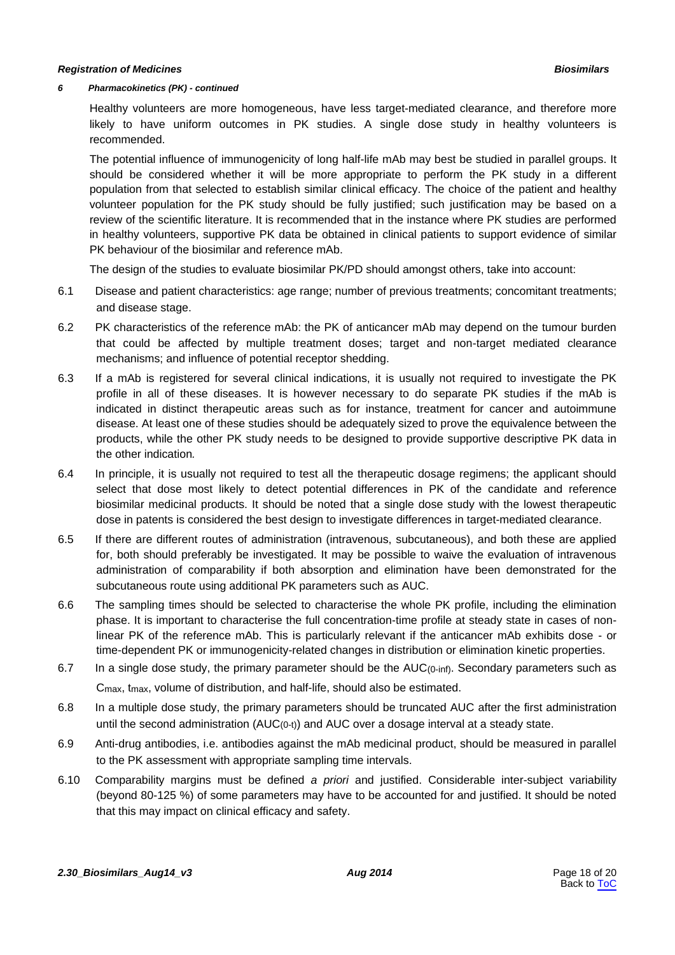#### *6 Pharmacokinetics (PK) - continued*

Healthy volunteers are more homogeneous, have less target-mediated clearance, and therefore more likely to have uniform outcomes in PK studies. A single dose study in healthy volunteers is recommended.

The potential influence of immunogenicity of long half-life mAb may best be studied in parallel groups. It should be considered whether it will be more appropriate to perform the PK study in a different population from that selected to establish similar clinical efficacy. The choice of the patient and healthy volunteer population for the PK study should be fully justified; such justification may be based on a review of the scientific literature. It is recommended that in the instance where PK studies are performed in healthy volunteers, supportive PK data be obtained in clinical patients to support evidence of similar PK behaviour of the biosimilar and reference mAb.

The design of the studies to evaluate biosimilar PK/PD should amongst others, take into account:

- 6.1 Disease and patient characteristics: age range; number of previous treatments; concomitant treatments; and disease stage.
- 6.2 PK characteristics of the reference mAb: the PK of anticancer mAb may depend on the tumour burden that could be affected by multiple treatment doses; target and non-target mediated clearance mechanisms; and influence of potential receptor shedding.
- 6.3 If a mAb is registered for several clinical indications, it is usually not required to investigate the PK profile in all of these diseases. It is however necessary to do separate PK studies if the mAb is indicated in distinct therapeutic areas such as for instance, treatment for cancer and autoimmune disease. At least one of these studies should be adequately sized to prove the equivalence between the products, while the other PK study needs to be designed to provide supportive descriptive PK data in the other indication*.*
- 6.4 In principle, it is usually not required to test all the therapeutic dosage regimens; the applicant should select that dose most likely to detect potential differences in PK of the candidate and reference biosimilar medicinal products. It should be noted that a single dose study with the lowest therapeutic dose in patents is considered the best design to investigate differences in target-mediated clearance.
- 6.5 If there are different routes of administration (intravenous, subcutaneous), and both these are applied for, both should preferably be investigated. It may be possible to waive the evaluation of intravenous administration of comparability if both absorption and elimination have been demonstrated for the subcutaneous route using additional PK parameters such as AUC.
- 6.6 The sampling times should be selected to characterise the whole PK profile, including the elimination phase. It is important to characterise the full concentration-time profile at steady state in cases of nonlinear PK of the reference mAb. This is particularly relevant if the anticancer mAb exhibits dose - or time-dependent PK or immunogenicity-related changes in distribution or elimination kinetic properties.
- 6.7 In a single dose study, the primary parameter should be the AUC(0-inf). Secondary parameters such as Cmax, tmax, volume of distribution, and half-life, should also be estimated.
- 6.8 In a multiple dose study, the primary parameters should be truncated AUC after the first administration until the second administration  $(AUC_{(0-t)})$  and  $AUC$  over a dosage interval at a steady state.
- 6.9 Anti-drug antibodies, i.e. antibodies against the mAb medicinal product, should be measured in parallel to the PK assessment with appropriate sampling time intervals.
- 6.10 Comparability margins must be defined *a priori* and justified. Considerable inter-subject variability (beyond 80-125 %) of some parameters may have to be accounted for and justified. It should be noted that this may impact on clinical efficacy and safety.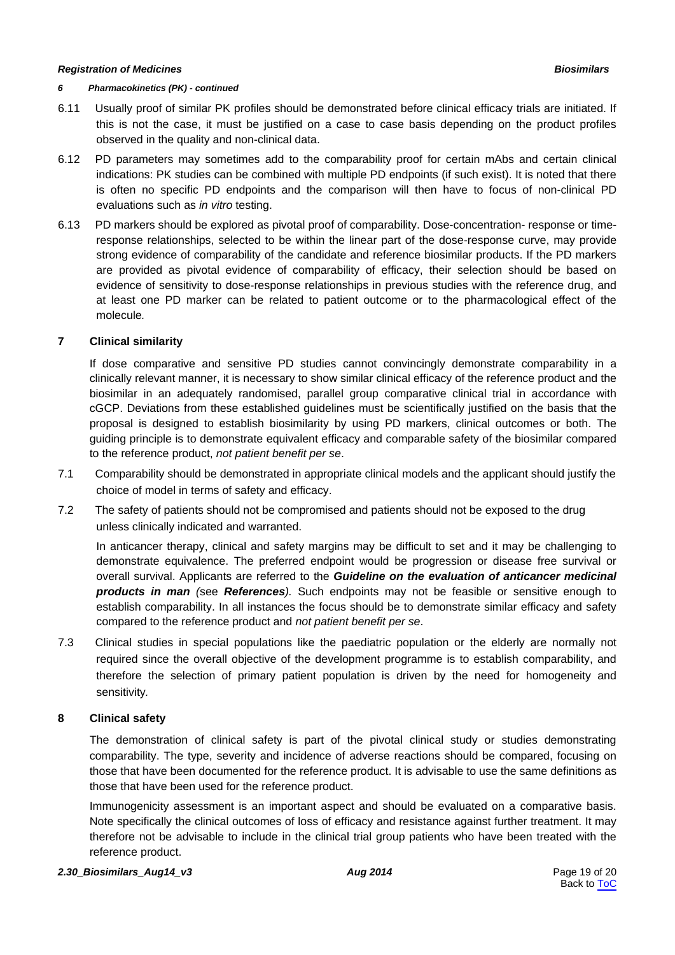#### *6 Pharmacokinetics (PK) - continued*

- 6.11 Usually proof of similar PK profiles should be demonstrated before clinical efficacy trials are initiated. If this is not the case, it must be justified on a case to case basis depending on the product profiles observed in the quality and non-clinical data.
- 6.12 PD parameters may sometimes add to the comparability proof for certain mAbs and certain clinical indications: PK studies can be combined with multiple PD endpoints (if such exist). It is noted that there is often no specific PD endpoints and the comparison will then have to focus of non-clinical PD evaluations such as *in vitro* testing.
- 6.13 PD markers should be explored as pivotal proof of comparability. Dose-concentration- response or timeresponse relationships, selected to be within the linear part of the dose-response curve, may provide strong evidence of comparability of the candidate and reference biosimilar products. If the PD markers are provided as pivotal evidence of comparability of efficacy, their selection should be based on evidence of sensitivity to dose-response relationships in previous studies with the reference drug, and at least one PD marker can be related to patient outcome or to the pharmacological effect of the molecule*.*

### **7 Clinical similarity**

If dose comparative and sensitive PD studies cannot convincingly demonstrate comparability in a clinically relevant manner, it is necessary to show similar clinical efficacy of the reference product and the biosimilar in an adequately randomised, parallel group comparative clinical trial in accordance with cGCP. Deviations from these established guidelines must be scientifically justified on the basis that the proposal is designed to establish biosimilarity by using PD markers, clinical outcomes or both. The guiding principle is to demonstrate equivalent efficacy and comparable safety of the biosimilar compared to the reference product, *not patient benefit per se*.

- 7.1 Comparability should be demonstrated in appropriate clinical models and the applicant should justify the choice of model in terms of safety and efficacy.
- 7.2 The safety of patients should not be compromised and patients should not be exposed to the drug unless clinically indicated and warranted.

In anticancer therapy, clinical and safety margins may be difficult to set and it may be challenging to demonstrate equivalence. The preferred endpoint would be progression or disease free survival or overall survival. Applicants are referred to the *Guideline on the evaluation of anticancer medicinal products in man (*see *References).* Such endpoints may not be feasible or sensitive enough to establish comparability. In all instances the focus should be to demonstrate similar efficacy and safety compared to the reference product and *not patient benefit per se*.

7.3 Clinical studies in special populations like the paediatric population or the elderly are normally not required since the overall objective of the development programme is to establish comparability, and therefore the selection of primary patient population is driven by the need for homogeneity and sensitivity*.*

#### **8 Clinical safety**

The demonstration of clinical safety is part of the pivotal clinical study or studies demonstrating comparability. The type, severity and incidence of adverse reactions should be compared, focusing on those that have been documented for the reference product. It is advisable to use the same definitions as those that have been used for the reference product.

Immunogenicity assessment is an important aspect and should be evaluated on a comparative basis. Note specifically the clinical outcomes of loss of efficacy and resistance against further treatment. It may therefore not be advisable to include in the clinical trial group patients who have been treated with the reference product.